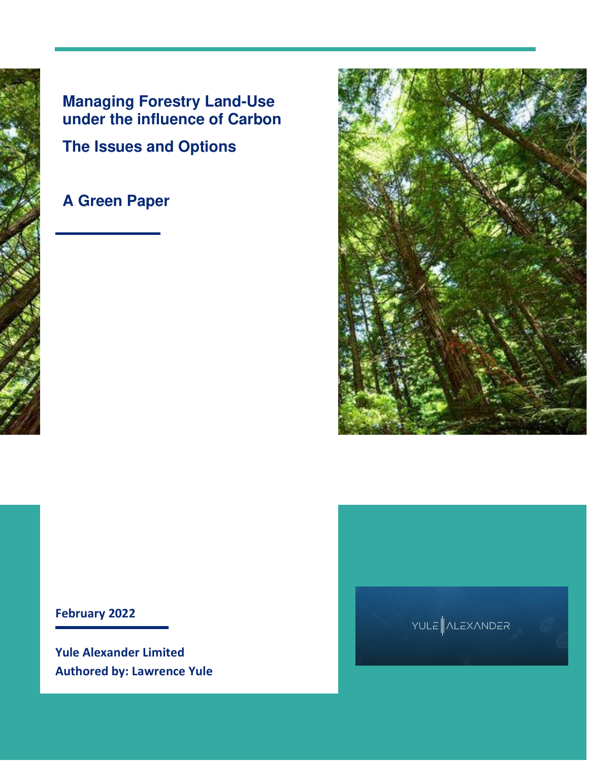### **Managing Forestry Land-Use under the influence of Carbon The Issues and Options**

### **A Green Paper**



### **February 2022**

**Yule Alexander Limited Authored by: Lawrence Yule** 

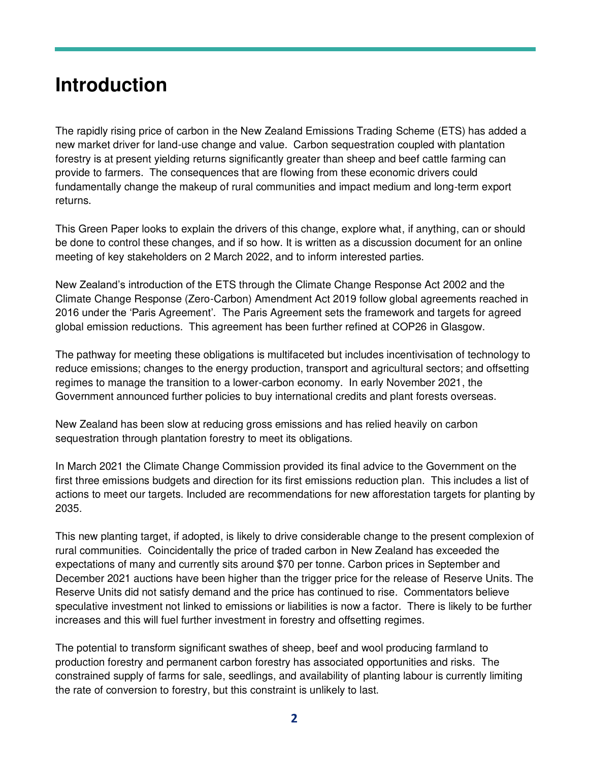### **Introduction**

The rapidly rising price of carbon in the New Zealand Emissions Trading Scheme (ETS) has added a new market driver for land-use change and value. Carbon sequestration coupled with plantation forestry is at present yielding returns significantly greater than sheep and beef cattle farming can provide to farmers. The consequences that are flowing from these economic drivers could fundamentally change the makeup of rural communities and impact medium and long-term export returns.

This Green Paper looks to explain the drivers of this change, explore what, if anything, can or should be done to control these changes, and if so how. It is written as a discussion document for an online meeting of key stakeholders on 2 March 2022, and to inform interested parties.

New Zealand's introduction of the ETS through the Climate Change Response Act 2002 and the Climate Change Response (Zero-Carbon) Amendment Act 2019 follow global agreements reached in 2016 under the 'Paris Agreement'. The Paris Agreement sets the framework and targets for agreed global emission reductions. This agreement has been further refined at COP26 in Glasgow.

The pathway for meeting these obligations is multifaceted but includes incentivisation of technology to reduce emissions; changes to the energy production, transport and agricultural sectors; and offsetting regimes to manage the transition to a lower-carbon economy. In early November 2021, the Government announced further policies to buy international credits and plant forests overseas.

New Zealand has been slow at reducing gross emissions and has relied heavily on carbon sequestration through plantation forestry to meet its obligations.

In March 2021 the Climate Change Commission provided its final advice to the Government on the first three emissions budgets and direction for its first emissions reduction plan. This includes a list of actions to meet our targets. Included are recommendations for new afforestation targets for planting by 2035.

This new planting target, if adopted, is likely to drive considerable change to the present complexion of rural communities. Coincidentally the price of traded carbon in New Zealand has exceeded the expectations of many and currently sits around \$70 per tonne. Carbon prices in September and December 2021 auctions have been higher than the trigger price for the release of Reserve Units. The Reserve Units did not satisfy demand and the price has continued to rise. Commentators believe speculative investment not linked to emissions or liabilities is now a factor. There is likely to be further increases and this will fuel further investment in forestry and offsetting regimes.

The potential to transform significant swathes of sheep, beef and wool producing farmland to production forestry and permanent carbon forestry has associated opportunities and risks. The constrained supply of farms for sale, seedlings, and availability of planting labour is currently limiting the rate of conversion to forestry, but this constraint is unlikely to last.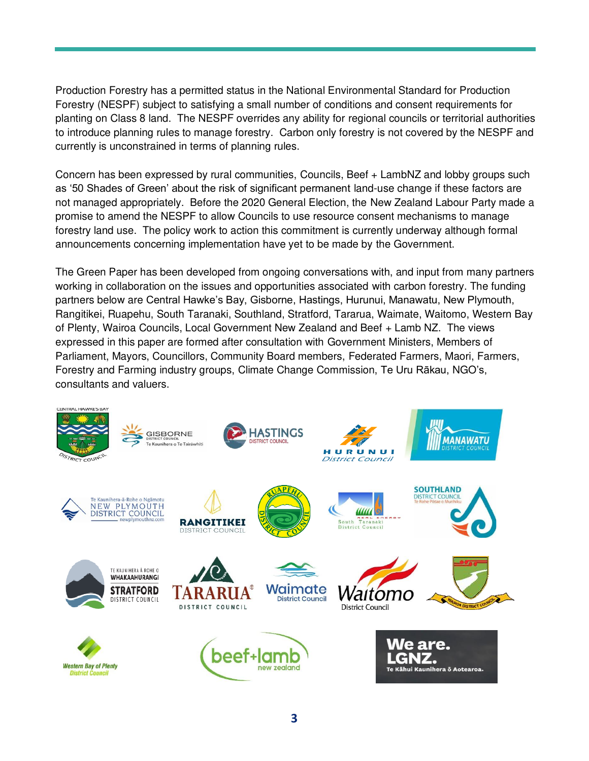Production Forestry has a permitted status in the National Environmental Standard for Production Forestry (NESPF) subject to satisfying a small number of conditions and consent requirements for planting on Class 8 land. The NESPF overrides any ability for regional councils or territorial authorities to introduce planning rules to manage forestry. Carbon only forestry is not covered by the NESPF and currently is unconstrained in terms of planning rules.

Concern has been expressed by rural communities, Councils, Beef + LambNZ and lobby groups such as '50 Shades of Green' about the risk of significant permanent land-use change if these factors are not managed appropriately. Before the 2020 General Election, the New Zealand Labour Party made a promise to amend the NESPF to allow Councils to use resource consent mechanisms to manage forestry land use. The policy work to action this commitment is currently underway although formal announcements concerning implementation have yet to be made by the Government.

The Green Paper has been developed from ongoing conversations with, and input from many partners working in collaboration on the issues and opportunities associated with carbon forestry. The funding partners below are Central Hawke's Bay, Gisborne, Hastings, Hurunui, Manawatu, New Plymouth, Rangitikei, Ruapehu, South Taranaki, Southland, Stratford, Tararua, Waimate, Waitomo, Western Bay of Plenty, Wairoa Councils, Local Government New Zealand and Beef + Lamb NZ. The views expressed in this paper are formed after consultation with Government Ministers, Members of Parliament, Mayors, Councillors, Community Board members, Federated Farmers, Maori, Farmers, Forestry and Farming industry groups, Climate Change Commission, Te Uru Rākau, NGO's, consultants and valuers.

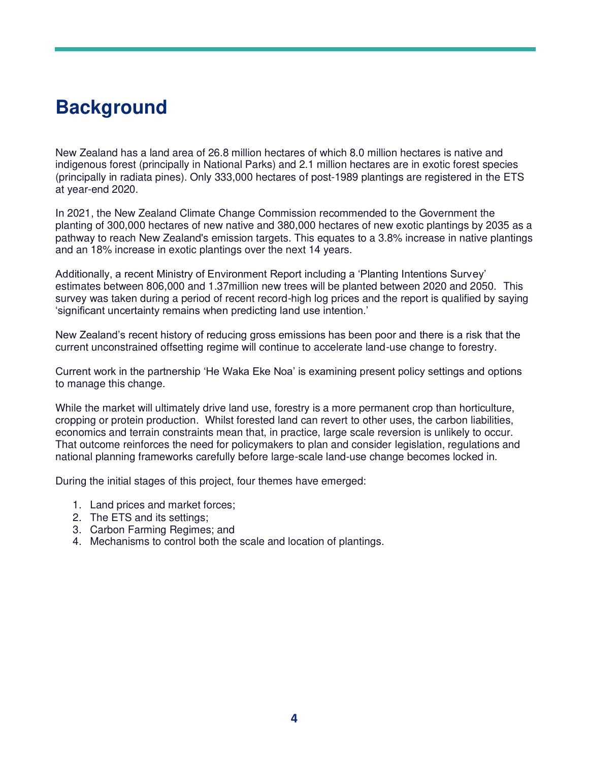### **Background**

New Zealand has a land area of 26.8 million hectares of which 8.0 million hectares is native and indigenous forest (principally in National Parks) and 2.1 million hectares are in exotic forest species (principally in radiata pines). Only 333,000 hectares of post-1989 plantings are registered in the ETS at year-end 2020.

In 2021, the New Zealand Climate Change Commission recommended to the Government the planting of 300,000 hectares of new native and 380,000 hectares of new exotic plantings by 2035 as a pathway to reach New Zealand's emission targets. This equates to a 3.8% increase in native plantings and an 18% increase in exotic plantings over the next 14 years.

Additionally, a recent Ministry of Environment Report including a 'Planting Intentions Survey' estimates between 806,000 and 1.37million new trees will be planted between 2020 and 2050. This survey was taken during a period of recent record-high log prices and the report is qualified by saying 'significant uncertainty remains when predicting land use intention.'

New Zealand's recent history of reducing gross emissions has been poor and there is a risk that the current unconstrained offsetting regime will continue to accelerate land-use change to forestry.

Current work in the partnership 'He Waka Eke Noa' is examining present policy settings and options to manage this change.

While the market will ultimately drive land use, forestry is a more permanent crop than horticulture, cropping or protein production. Whilst forested land can revert to other uses, the carbon liabilities, economics and terrain constraints mean that, in practice, large scale reversion is unlikely to occur. That outcome reinforces the need for policymakers to plan and consider legislation, regulations and national planning frameworks carefully before large-scale land-use change becomes locked in.

During the initial stages of this project, four themes have emerged:

- 1. Land prices and market forces;
- 2. The ETS and its settings;
- 3. Carbon Farming Regimes; and
- 4. Mechanisms to control both the scale and location of plantings.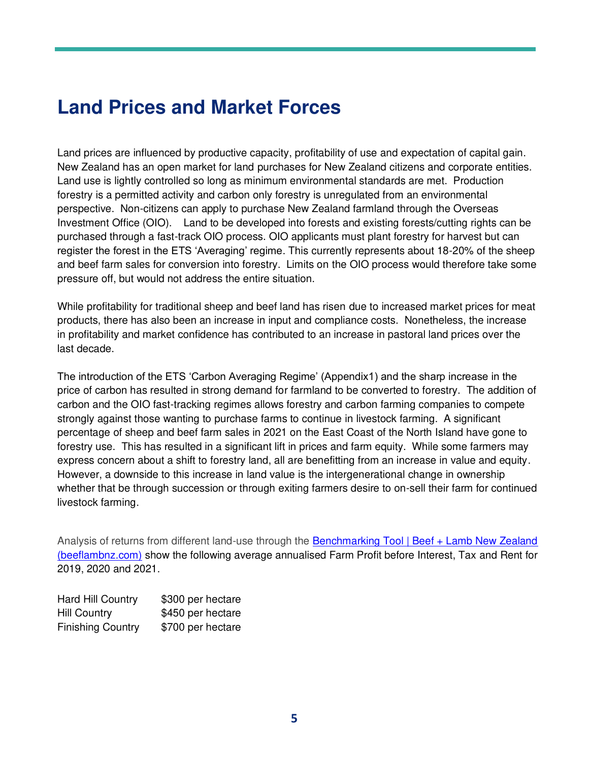## **Land Prices and Market Forces**

Land prices are influenced by productive capacity, profitability of use and expectation of capital gain. New Zealand has an open market for land purchases for New Zealand citizens and corporate entities. Land use is lightly controlled so long as minimum environmental standards are met. Production forestry is a permitted activity and carbon only forestry is unregulated from an environmental perspective. Non-citizens can apply to purchase New Zealand farmland through the Overseas Investment Office (OIO). Land to be developed into forests and existing forests/cutting rights can be purchased through a fast-track OIO process. OIO applicants must plant forestry for harvest but can register the forest in the ETS 'Averaging' regime. This currently represents about 18-20% of the sheep and beef farm sales for conversion into forestry. Limits on the OIO process would therefore take some pressure off, but would not address the entire situation.

While profitability for traditional sheep and beef land has risen due to increased market prices for meat products, there has also been an increase in input and compliance costs. Nonetheless, the increase in profitability and market confidence has contributed to an increase in pastoral land prices over the last decade.

The introduction of the ETS 'Carbon Averaging Regime' (Appendix1) and the sharp increase in the price of carbon has resulted in strong demand for farmland to be converted to forestry. The addition of carbon and the OIO fast-tracking regimes allows forestry and carbon farming companies to compete strongly against those wanting to purchase farms to continue in livestock farming. A significant percentage of sheep and beef farm sales in 2021 on the East Coast of the North Island have gone to forestry use. This has resulted in a significant lift in prices and farm equity. While some farmers may express concern about a shift to forestry land, all are benefitting from an increase in value and equity. However, a downside to this increase in land value is the intergenerational change in ownership whether that be through succession or through exiting farmers desire to on-sell their farm for continued livestock farming.

Analysis of returns from different land-use through the [Benchmarking Tool | Beef + Lamb New Zealand](https://beeflambnz.com/data-tools/benchmarking-tool)  [\(beeflambnz.com\)](https://beeflambnz.com/data-tools/benchmarking-tool) show the following average annualised Farm Profit before Interest, Tax and Rent for 2019, 2020 and 2021.

| Hard Hill Country        | \$300 per hectare |
|--------------------------|-------------------|
| <b>Hill Country</b>      | \$450 per hectare |
| <b>Finishing Country</b> | \$700 per hectare |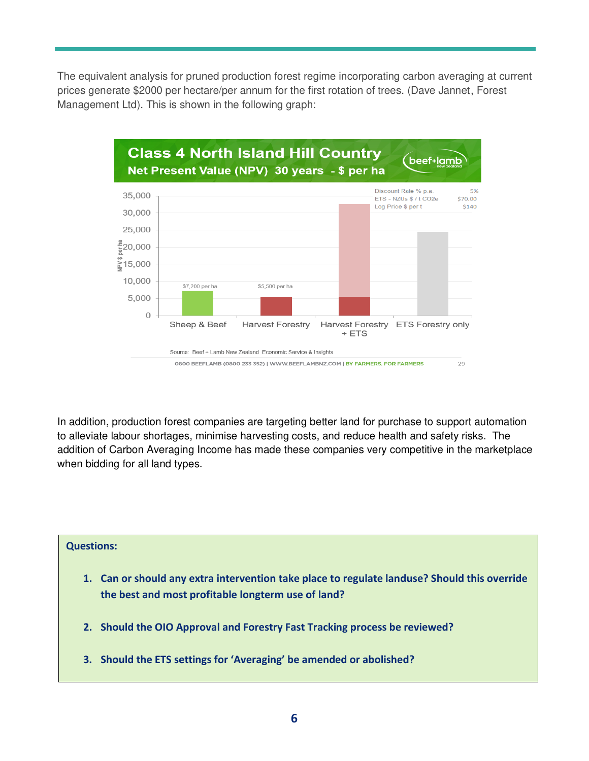The equivalent analysis for pruned production forest regime incorporating carbon averaging at current prices generate \$2000 per hectare/per annum for the first rotation of trees. (Dave Jannet, Forest Management Ltd). This is shown in the following graph:



In addition, production forest companies are targeting better land for purchase to support automation to alleviate labour shortages, minimise harvesting costs, and reduce health and safety risks. The addition of Carbon Averaging Income has made these companies very competitive in the marketplace when bidding for all land types.

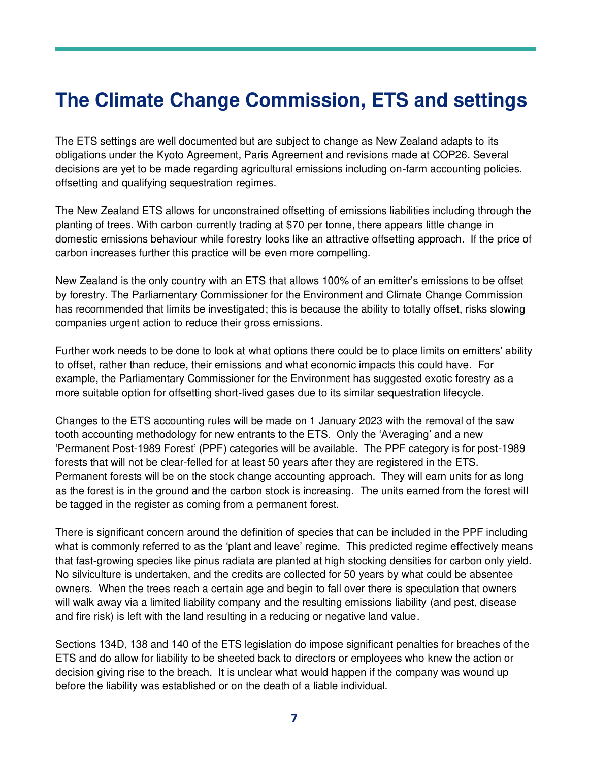## **The Climate Change Commission, ETS and settings**

The ETS settings are well documented but are subject to change as New Zealand adapts to its obligations under the Kyoto Agreement, Paris Agreement and revisions made at COP26. Several decisions are yet to be made regarding agricultural emissions including on-farm accounting policies, offsetting and qualifying sequestration regimes.

The New Zealand ETS allows for unconstrained offsetting of emissions liabilities including through the planting of trees. With carbon currently trading at \$70 per tonne, there appears little change in domestic emissions behaviour while forestry looks like an attractive offsetting approach. If the price of carbon increases further this practice will be even more compelling.

New Zealand is the only country with an ETS that allows 100% of an emitter's emissions to be offset by forestry. The Parliamentary Commissioner for the Environment and Climate Change Commission has recommended that limits be investigated; this is because the ability to totally offset, risks slowing companies urgent action to reduce their gross emissions.

Further work needs to be done to look at what options there could be to place limits on emitters' ability to offset, rather than reduce, their emissions and what economic impacts this could have. For example, the Parliamentary Commissioner for the Environment has suggested exotic forestry as a more suitable option for offsetting short-lived gases due to its similar sequestration lifecycle.

Changes to the ETS accounting rules will be made on 1 January 2023 with the removal of the saw tooth accounting methodology for new entrants to the ETS. Only the 'Averaging' and a new 'Permanent Post-1989 Forest' (PPF) categories will be available. The PPF category is for post-1989 forests that will not be clear-felled for at least 50 years after they are registered in the ETS. Permanent forests will be on the stock change accounting approach. They will earn units for as long as the forest is in the ground and the carbon stock is increasing. The units earned from the forest will be tagged in the register as coming from a permanent forest.

There is significant concern around the definition of species that can be included in the PPF including what is commonly referred to as the 'plant and leave' regime. This predicted regime effectively means that fast-growing species like pinus radiata are planted at high stocking densities for carbon only yield. No silviculture is undertaken, and the credits are collected for 50 years by what could be absentee owners. When the trees reach a certain age and begin to fall over there is speculation that owners will walk away via a limited liability company and the resulting emissions liability (and pest, disease and fire risk) is left with the land resulting in a reducing or negative land value.

Sections 134D, 138 and 140 of the ETS legislation do impose significant penalties for breaches of the ETS and do allow for liability to be sheeted back to directors or employees who knew the action or decision giving rise to the breach. It is unclear what would happen if the company was wound up before the liability was established or on the death of a liable individual.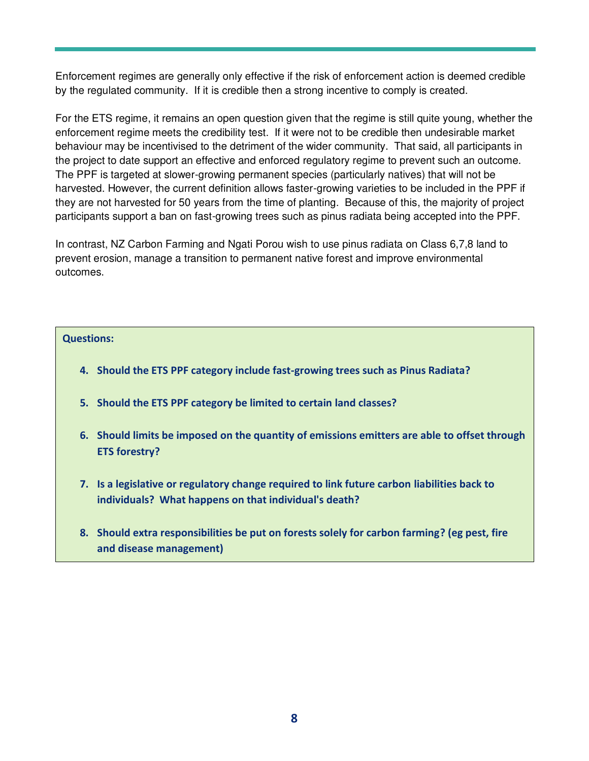Enforcement regimes are generally only effective if the risk of enforcement action is deemed credible by the regulated community. If it is credible then a strong incentive to comply is created.

For the ETS regime, it remains an open question given that the regime is still quite young, whether the enforcement regime meets the credibility test. If it were not to be credible then undesirable market behaviour may be incentivised to the detriment of the wider community. That said, all participants in the project to date support an effective and enforced regulatory regime to prevent such an outcome. The PPF is targeted at slower-growing permanent species (particularly natives) that will not be harvested. However, the current definition allows faster-growing varieties to be included in the PPF if they are not harvested for 50 years from the time of planting. Because of this, the majority of project participants support a ban on fast-growing trees such as pinus radiata being accepted into the PPF.

In contrast, NZ Carbon Farming and Ngati Porou wish to use pinus radiata on Class 6,7,8 land to prevent erosion, manage a transition to permanent native forest and improve environmental outcomes.

#### **Questions:**

- **4. Should the ETS PPF category include fast-growing trees such as Pinus Radiata?**
- **5. Should the ETS PPF category be limited to certain land classes?**
- **6. Should limits be imposed on the quantity of emissions emitters are able to offset through ETS forestry?**
- **7. Is a legislative or regulatory change required to link future carbon liabilities back to individuals? What happens on that individual's death?**
- **8. Should extra responsibilities be put on forests solely for carbon farming? (eg pest, fire and disease management)**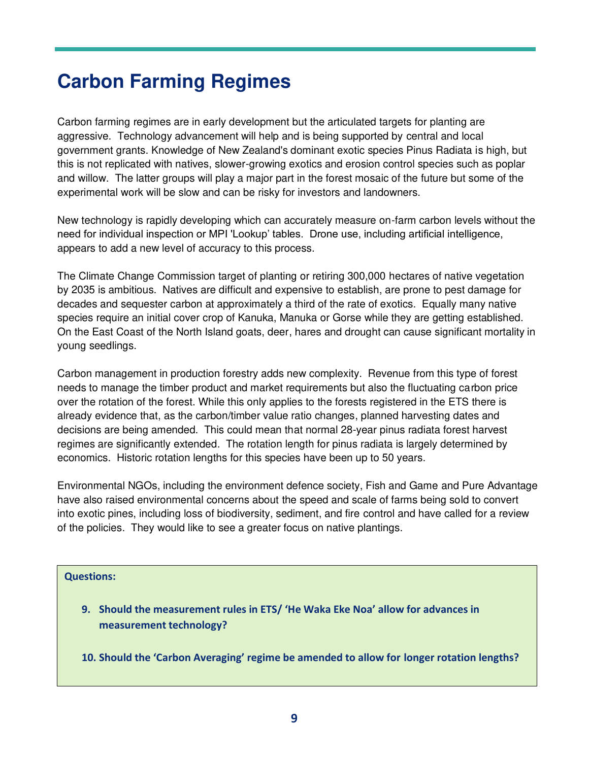### **Carbon Farming Regimes**

Carbon farming regimes are in early development but the articulated targets for planting are aggressive. Technology advancement will help and is being supported by central and local government grants. Knowledge of New Zealand's dominant exotic species Pinus Radiata is high, but this is not replicated with natives, slower-growing exotics and erosion control species such as poplar and willow. The latter groups will play a major part in the forest mosaic of the future but some of the experimental work will be slow and can be risky for investors and landowners.

New technology is rapidly developing which can accurately measure on-farm carbon levels without the need for individual inspection or MPI 'Lookup' tables. Drone use, including artificial intelligence, appears to add a new level of accuracy to this process.

The Climate Change Commission target of planting or retiring 300,000 hectares of native vegetation by 2035 is ambitious. Natives are difficult and expensive to establish, are prone to pest damage for decades and sequester carbon at approximately a third of the rate of exotics. Equally many native species require an initial cover crop of Kanuka, Manuka or Gorse while they are getting established. On the East Coast of the North Island goats, deer, hares and drought can cause significant mortality in young seedlings.

Carbon management in production forestry adds new complexity. Revenue from this type of forest needs to manage the timber product and market requirements but also the fluctuating carbon price over the rotation of the forest. While this only applies to the forests registered in the ETS there is already evidence that, as the carbon/timber value ratio changes, planned harvesting dates and decisions are being amended. This could mean that normal 28-year pinus radiata forest harvest regimes are significantly extended. The rotation length for pinus radiata is largely determined by economics. Historic rotation lengths for this species have been up to 50 years.

Environmental NGOs, including the environment defence society, Fish and Game and Pure Advantage have also raised environmental concerns about the speed and scale of farms being sold to convert into exotic pines, including loss of biodiversity, sediment, and fire control and have called for a review of the policies. They would like to see a greater focus on native plantings.

#### **Questions:**

- **9. Should the measurement rules in ETS/ 'He Waka Eke Noa' allow for advances in measurement technology?**
- **10. Should the 'Carbon Averaging' regime be amended to allow for longer rotation lengths?**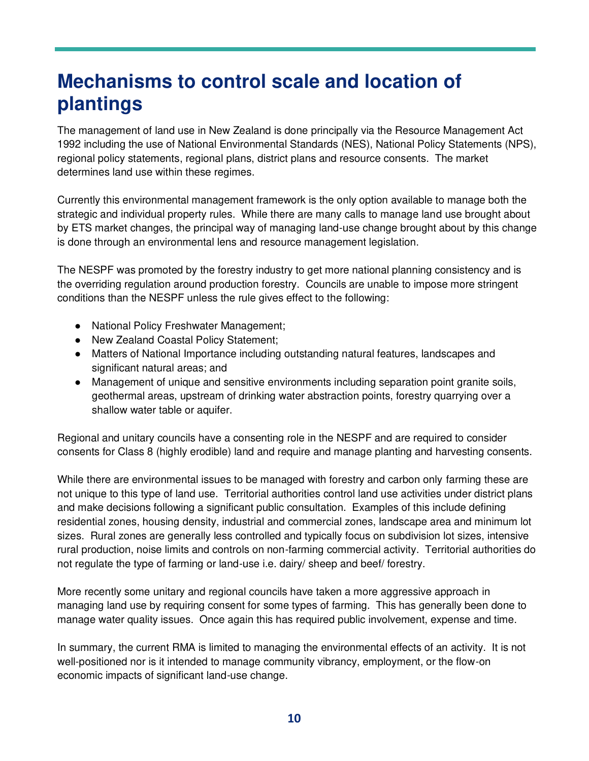## **Mechanisms to control scale and location of plantings**

The management of lan[d use in Ne](https://creativecommons.org/licenses/by-nc-sa/3.0/)w Zealand is done principally via the Resource Management Act 1992 including the use of National Environmental Standards (NES), National Policy Statements (NPS), regional policy statements, regional plans, district plans and resource consents. The market determines land use within these regimes.

Currently this environmental management framework is the only option available to manage both the strategic and individual property rules. While there are many calls to manage land use brought about by ETS market changes, the principal way of managing land-use change brought about by this change is done through an environmental lens and resource management legislation.

The NESPF was promoted by the forestry industry to get more national planning consistency and is the overriding regulation around production forestry. Councils are unable to impose more stringent conditions than the NESPF unless the rule gives effect to the following:

- National Policy Freshwater Management;
- New Zealand Coastal Policy Statement;
- Matters of National Importance including outstanding natural features, landscapes and significant natural areas; and
- Management of unique and sensitive environments including separation point granite soils, geothermal areas, upstream of drinking water abstraction points, forestry quarrying over a shallow water table or aquifer.

Regional and unitary councils have a consenting role in the NESPF and are required to consider consents for Class 8 (highly erodible) land and require and manage planting and harvesting consents.

While there are environmental issues to be managed with forestry and carbon only farming these are not unique to this type of land use. Territorial authorities control land use activities under district plans and make decisions following a significant public consultation. Examples of this include defining residential zones, housing density, industrial and commercial zones, landscape area and minimum lot sizes. Rural zones are generally less controlled and typically focus on subdivision lot sizes, intensive rural production, noise limits and controls on non-farming commercial activity. Territorial authorities do not regulate the type of farming or land-use i.e. dairy/ sheep and beef/ forestry.

More recently some unitary and regional councils have taken a more aggressive approach in managing land use by requiring consent for some types of farming. This has generally been done to manage water quality issues. Once again this has required public involvement, expense and time.

In summary, the current RMA is limited to managing the environmental effects of an activity. It is not well-positioned nor is it intended to manage community vibrancy, employment, or the flow-on economic impacts of significant land-use change.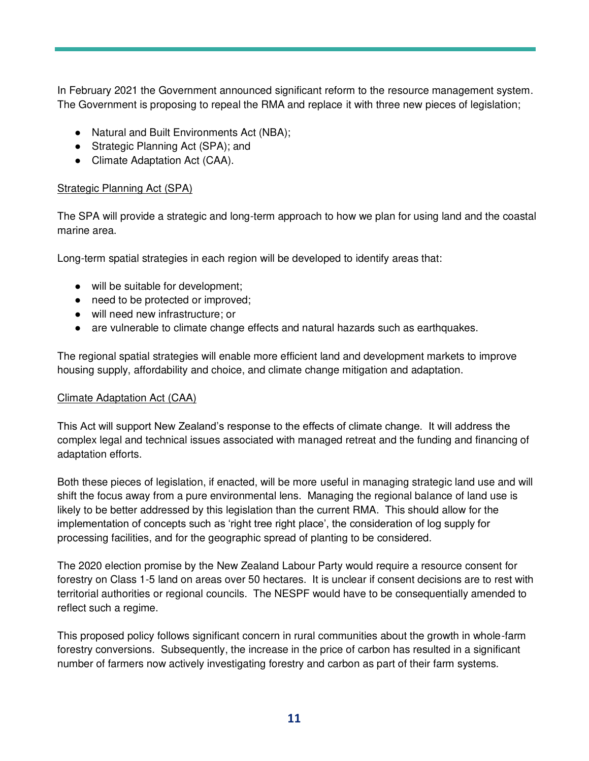In February 2021 the Government announced significant reform to the resource management system. The Government is proposing to repeal the RMA and replace it with three new pieces of legislation;

- Natural and Built Environments Act (NBA);
- Strategic Planning Act (SPA); and
- Climate Adaptation Act (CAA).

### Strategic Planning Act (SPA)

The SPA will provide a strategic and long-term approach to how we plan for using land and the coastal marine area.

Long-term spatial strategies in each region will be developed to identify areas that:

- will be suitable for development;
- need to be protected or improved;
- will need new infrastructure; or
- are vulnerable to climate change effects and natural hazards such as earthquakes.

The regional spatial strategies will enable more efficient land and development markets to improve housing supply, affordability and choice, and climate change mitigation and adaptation.

#### Climate Adaptation Act (CAA)

This Act will support New Zealand's response to the effects of climate change. It will address the complex legal and technical issues associated with managed retreat and the funding and financing of adaptation efforts.

Both these pieces of legislation, if enacted, will be more useful in managing strategic land use and will shift the focus away from a pure environmental lens. Managing the regional balance of land use is likely to be better addressed by this legislation than the current RMA. This should allow for the implementation of concepts such as 'right tree right place', the consideration of log supply for processing facilities, and for the geographic spread of planting to be considered.

The 2020 election promise by the New Zealand Labour Party would require a resource consent for forestry on Class 1-5 land on areas over 50 hectares. It is unclear if consent decisions are to rest with territorial authorities or regional councils. The NESPF would have to be consequentially amended to reflect such a regime.

This proposed policy follows significant concern in rural communities about the growth in whole-farm forestry conversions. Subsequently, the increase in the price of carbon has resulted in a significant number of farmers now actively investigating forestry and carbon as part of their farm systems.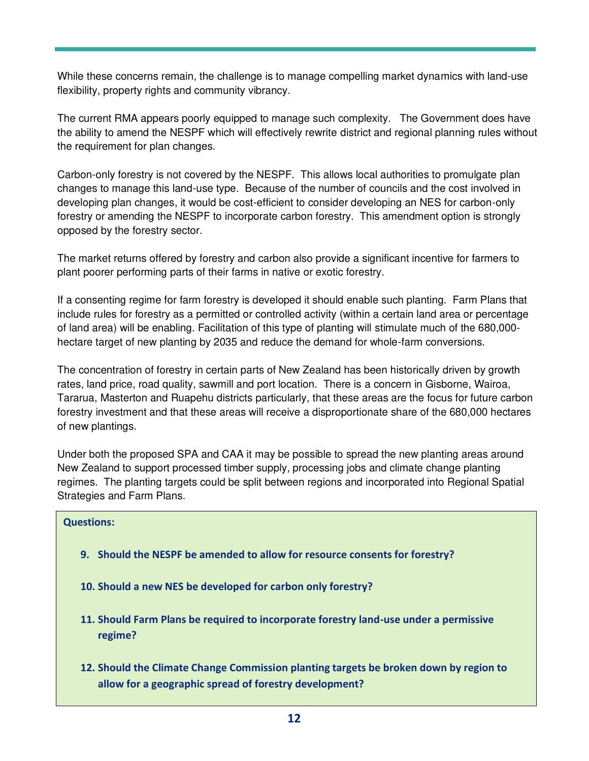While these concerns remain, the challenge is to manage compelling market dynamics with land-use flexibility, property rights and community vibrancy.

The current RMA appears poorly equipped to manage such complexity. The Government does have the ability to amend the NESPF which will effectively rewrite district and regional planning rules without the requirement for plan changes.

Carbon-only forestry is not covered by the NESPF. This allows local authorities to promulgate plan changes to manage this land-use type. Because of the number of councils and the cost involved in developing plan changes, it would be cost-efficient to consider developing an NES for carbon-only forestry or amending the NESPF to incorporate carbon forestry. This amendment option is strongly opposed by the forestry sector.

The market returns offered by forestry and carbon also provide a significant incentive for farmers to plant poorer performing parts of their farms in native or exotic forestry.

If a consenting regime for farm forestry is developed it should enable such planting. Farm Plans that include rules for forestry as a permitted or controlled activity (within a certain land area or percentage of land area) will be enabling. Facilitation of this type of planting will stimulate much of the 680,000 hectare target of new planting by 2035 and reduce the demand for whole-farm conversions.

The concentration of forestry in certain parts of New Zealand has been historically driven by growth rates, land price, road quality, sawmill and port location. There is a concern in Gisborne, Wairoa, Tararua, Masterton and Ruapehu districts particularly, that these areas are the focus for future carbon forestry investment and that these areas will receive a disproportionate share of the 680,000 hectares of new plantings.

Under both the proposed SPA and CAA it may be possible to spread the new planting areas around New Zealand to support processed timber supply, processing jobs and climate change planting regimes. The planting targets could be split between regions and incorporated into Regional Spatial Strategies and Farm Plans.

#### **Questions:**

- **9. Should the NESPF be amended to allow for resource consents for forestry?**
- **10. Should a new NES be developed for carbon only forestry?**
- **11. Should Farm Plans be required to incorporate forestry land-use under a permissive regime?**
- **12. Should the Climate Change Commission planting targets be broken down by region to allow for a geographic spread of forestry development?**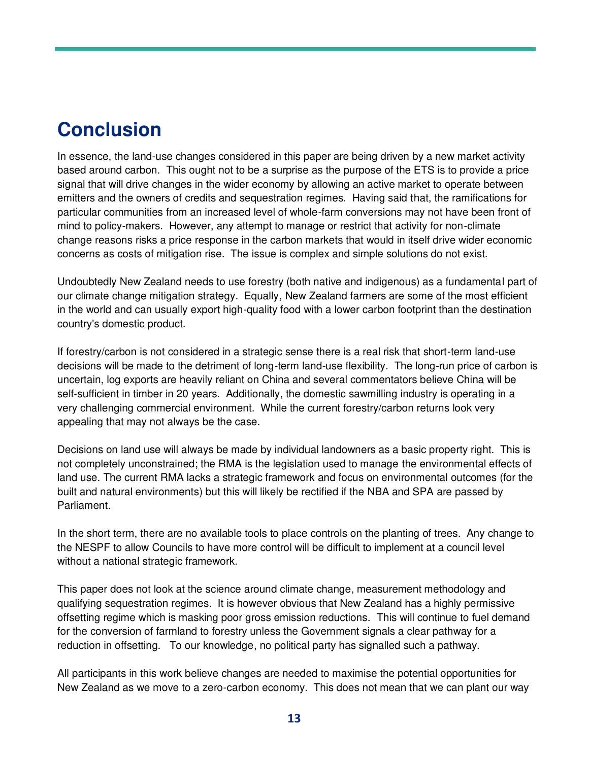### **Conclusion**

In essence, the land-use changes considered in this paper are being driven by a new market activity based around carbon. This ought not to be a surprise as the purpose of the ETS is to provide a price signal that will drive changes in the wider economy by allowing an active market to operate between emitters and the owners of credits and sequestration regimes. Having said that, the ramifications for particular communities from an increased level of whole-farm conversions may not have been front of mind to policy-makers. However, any attempt to manage or restrict that activity for non-climate change reasons risks a price response in the carbon markets that would in itself drive wider economic concerns as costs of mitigation rise. The issue is complex and simple solutions do not exist.

Undoubtedly New Zealand needs to use forestry (both native and indigenous) as a fundamental part of our climate change mitigation strategy. Equally, New Zealand farmers are some of the most efficient in the world and can usually export high-quality food with a lower carbon footprint than the destination country's domestic product.

If forestry/carbon is not considered in a strategic sense there is a real risk that short-term land-use decisions will be made to the detriment of long-term land-use flexibility. The long-run price of carbon is uncertain, log exports are heavily reliant on China and several commentators believe China will be self-sufficient in timber in 20 years. Additionally, the domestic sawmilling industry is operating in a very challenging commercial environment. While the current forestry/carbon returns look very appealing that may not always be the case.

Decisions on land use will always be made by individual landowners as a basic property right. This is not completely unconstrained; the RMA is the legislation used to manage the environmental effects of land use. The current RMA lacks a strategic framework and focus on environmental outcomes (for the built and natural environments) but this will likely be rectified if the NBA and SPA are passed by Parliament.

In the short term, there are no available tools to place controls on the planting of trees. Any change to the NESPF to allow Councils to have more control will be difficult to implement at a council level without a national strategic framework.

This paper does not look at the science around climate change, measurement methodology and qualifying sequestration regimes. It is however obvious that New Zealand has a highly permissive offsetting regime which is masking poor gross emission reductions. This will continue to fuel demand for the conversion of farmland to forestry unless the Government signals a clear pathway for a reduction in offsetting. To our knowledge, no political party has signalled such a pathway.

All participants in this work believe changes are needed to maximise the potential opportunities for New Zealand as we move to a zero-carbon economy. This does not mean that we can plant our way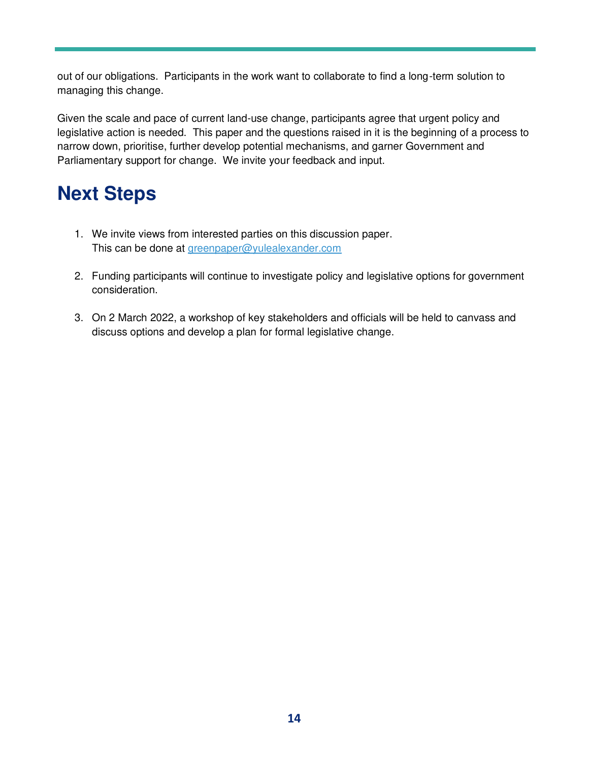out of our obligations. Participants in the work want to collaborate to find a long-term solution to managing this change.

Given the scale and pace of current land-use change, participants agree that urgent policy and legislative action is needed. This paper and the questions raised in it is the beginning of a process to narrow down, prioritise, further develop potential mechanisms, and garner Government and Parliamentary support for change. We invite your feedback and input.

# **Next Steps**

- 1. We invite views from interested parties on this discussion paper. This can be done at [greenpaper@yulealexander.com](mailto:greenpaper@yulealexander.com)
- 2. Funding participants will continue to investigate policy and legislative options for government consideration.
- 3. On 2 March 2022, a workshop of key stakeholders and officials will be held to canvass and discuss options and develop a plan for formal legislative change.